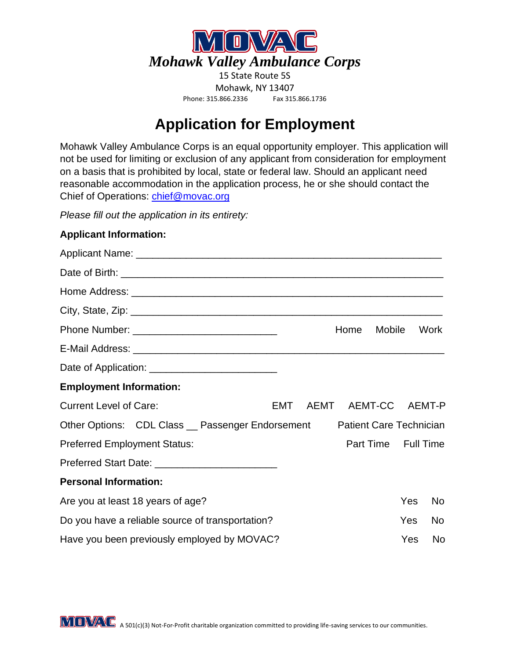

## **Application for Employment**

Mohawk Valley Ambulance Corps is an equal opportunity employer. This application will not be used for limiting or exclusion of any applicant from consideration for employment on a basis that is prohibited by local, state or federal law. Should an applicant need reasonable accommodation in the application process, he or she should contact the Chief of Operations: *chief@movac.org* 

*Please fill out the application in its entirety:*

## **Applicant Information:**

|                                                  | Home                | Mobile                         |     | Work      |
|--------------------------------------------------|---------------------|--------------------------------|-----|-----------|
|                                                  |                     |                                |     |           |
|                                                  |                     |                                |     |           |
| <b>Employment Information:</b>                   |                     |                                |     |           |
| <b>Current Level of Care:</b><br>EMT             | AEMT AEMT-CC AEMT-P |                                |     |           |
| Other Options: CDL Class _ Passenger Endorsement |                     | <b>Patient Care Technician</b> |     |           |
| <b>Preferred Employment Status:</b>              |                     | Part Time Full Time            |     |           |
|                                                  |                     |                                |     |           |
| <b>Personal Information:</b>                     |                     |                                |     |           |
| Are you at least 18 years of age?                |                     |                                | Yes | <b>No</b> |
| Do you have a reliable source of transportation? |                     |                                | Yes | <b>No</b> |
| Have you been previously employed by MOVAC?      |                     |                                | Yes | No        |

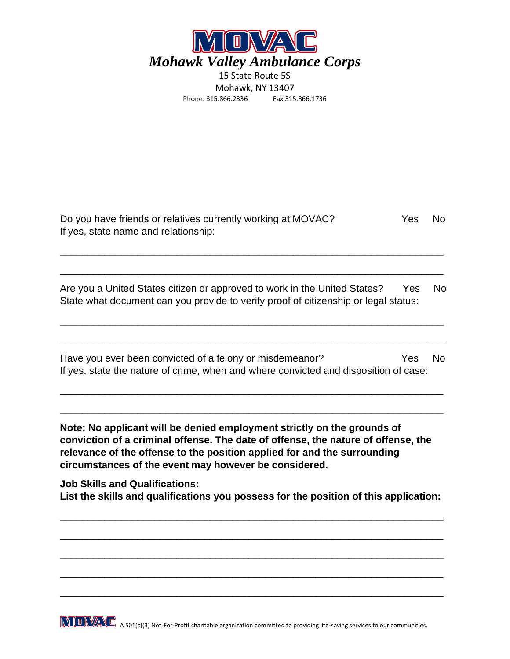

| Do you have friends or relatives currently working at MOVAC? | Yes | - No |
|--------------------------------------------------------------|-----|------|
| If yes, state name and relationship:                         |     |      |

\_\_\_\_\_\_\_\_\_\_\_\_\_\_\_\_\_\_\_\_\_\_\_\_\_\_\_\_\_\_\_\_\_\_\_\_\_\_\_\_\_\_\_\_\_\_\_\_\_\_\_\_\_\_\_\_\_\_\_\_\_\_\_\_\_\_\_\_\_

\_\_\_\_\_\_\_\_\_\_\_\_\_\_\_\_\_\_\_\_\_\_\_\_\_\_\_\_\_\_\_\_\_\_\_\_\_\_\_\_\_\_\_\_\_\_\_\_\_\_\_\_\_\_\_\_\_\_\_\_\_\_\_\_\_\_\_\_\_

Are you a United States citizen or approved to work in the United States? Yes No State what document can you provide to verify proof of citizenship or legal status:

\_\_\_\_\_\_\_\_\_\_\_\_\_\_\_\_\_\_\_\_\_\_\_\_\_\_\_\_\_\_\_\_\_\_\_\_\_\_\_\_\_\_\_\_\_\_\_\_\_\_\_\_\_\_\_\_\_\_\_\_\_\_\_\_\_\_\_\_\_

\_\_\_\_\_\_\_\_\_\_\_\_\_\_\_\_\_\_\_\_\_\_\_\_\_\_\_\_\_\_\_\_\_\_\_\_\_\_\_\_\_\_\_\_\_\_\_\_\_\_\_\_\_\_\_\_\_\_\_\_\_\_\_\_\_\_\_\_\_

Have you ever been convicted of a felony or misdemeanor? Yes No If yes, state the nature of crime, when and where convicted and disposition of case:

\_\_\_\_\_\_\_\_\_\_\_\_\_\_\_\_\_\_\_\_\_\_\_\_\_\_\_\_\_\_\_\_\_\_\_\_\_\_\_\_\_\_\_\_\_\_\_\_\_\_\_\_\_\_\_\_\_\_\_\_\_\_\_\_\_\_\_\_\_

\_\_\_\_\_\_\_\_\_\_\_\_\_\_\_\_\_\_\_\_\_\_\_\_\_\_\_\_\_\_\_\_\_\_\_\_\_\_\_\_\_\_\_\_\_\_\_\_\_\_\_\_\_\_\_\_\_\_\_\_\_\_\_\_\_\_\_\_\_

**Note: No applicant will be denied employment strictly on the grounds of conviction of a criminal offense. The date of offense, the nature of offense, the relevance of the offense to the position applied for and the surrounding circumstances of the event may however be considered.**

**Job Skills and Qualifications: List the skills and qualifications you possess for the position of this application:**

\_\_\_\_\_\_\_\_\_\_\_\_\_\_\_\_\_\_\_\_\_\_\_\_\_\_\_\_\_\_\_\_\_\_\_\_\_\_\_\_\_\_\_\_\_\_\_\_\_\_\_\_\_\_\_\_\_\_\_\_\_\_\_\_\_\_\_\_\_

\_\_\_\_\_\_\_\_\_\_\_\_\_\_\_\_\_\_\_\_\_\_\_\_\_\_\_\_\_\_\_\_\_\_\_\_\_\_\_\_\_\_\_\_\_\_\_\_\_\_\_\_\_\_\_\_\_\_\_\_\_\_\_\_\_\_\_\_\_

\_\_\_\_\_\_\_\_\_\_\_\_\_\_\_\_\_\_\_\_\_\_\_\_\_\_\_\_\_\_\_\_\_\_\_\_\_\_\_\_\_\_\_\_\_\_\_\_\_\_\_\_\_\_\_\_\_\_\_\_\_\_\_\_\_\_\_\_\_

\_\_\_\_\_\_\_\_\_\_\_\_\_\_\_\_\_\_\_\_\_\_\_\_\_\_\_\_\_\_\_\_\_\_\_\_\_\_\_\_\_\_\_\_\_\_\_\_\_\_\_\_\_\_\_\_\_\_\_\_\_\_\_\_\_\_\_\_\_

\_\_\_\_\_\_\_\_\_\_\_\_\_\_\_\_\_\_\_\_\_\_\_\_\_\_\_\_\_\_\_\_\_\_\_\_\_\_\_\_\_\_\_\_\_\_\_\_\_\_\_\_\_\_\_\_\_\_\_\_\_\_\_\_\_\_\_\_\_

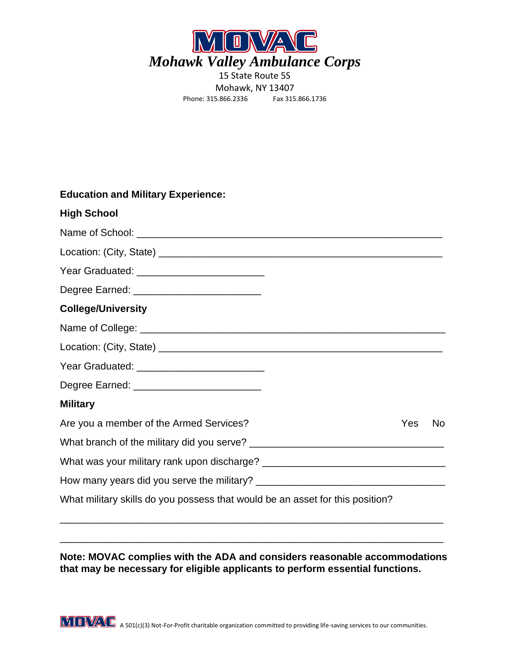

## **Education and Military Experience:**

| <b>High School</b>                                                            |            |           |
|-------------------------------------------------------------------------------|------------|-----------|
|                                                                               |            |           |
|                                                                               |            |           |
|                                                                               |            |           |
| Degree Earned: ___________________________                                    |            |           |
| <b>College/University</b>                                                     |            |           |
|                                                                               |            |           |
|                                                                               |            |           |
|                                                                               |            |           |
| Degree Earned: _____________________________                                  |            |           |
| <b>Military</b>                                                               |            |           |
| Are you a member of the Armed Services?                                       | <b>Yes</b> | <b>No</b> |
|                                                                               |            |           |
|                                                                               |            |           |
|                                                                               |            |           |
| What military skills do you possess that would be an asset for this position? |            |           |

**Note: MOVAC complies with the ADA and considers reasonable accommodations that may be necessary for eligible applicants to perform essential functions.**

\_\_\_\_\_\_\_\_\_\_\_\_\_\_\_\_\_\_\_\_\_\_\_\_\_\_\_\_\_\_\_\_\_\_\_\_\_\_\_\_\_\_\_\_\_\_\_\_\_\_\_\_\_\_\_\_\_\_\_\_\_\_\_\_\_\_\_\_\_

\_\_\_\_\_\_\_\_\_\_\_\_\_\_\_\_\_\_\_\_\_\_\_\_\_\_\_\_\_\_\_\_\_\_\_\_\_\_\_\_\_\_\_\_\_\_\_\_\_\_\_\_\_\_\_\_\_\_\_\_\_\_\_\_\_\_\_\_\_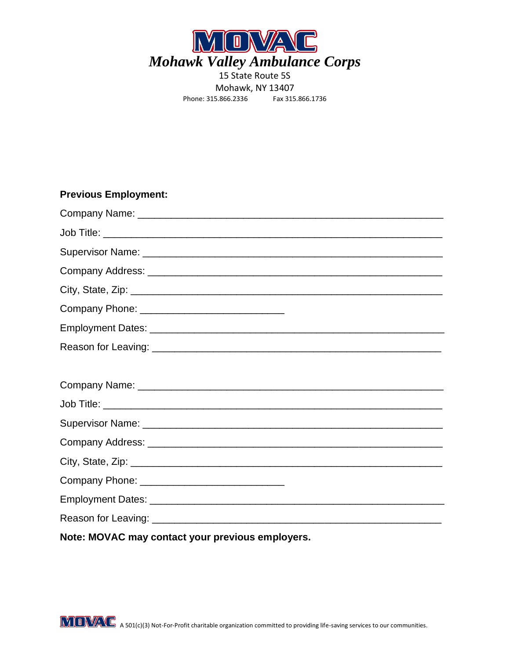

## **Previous Employment:**

| Note: MOVAC may contact your previous employers. |
|--------------------------------------------------|

**MOWAG** A 501(c)(3) Not-For-Profit charitable organization committed to providing life-saving services to our communities.